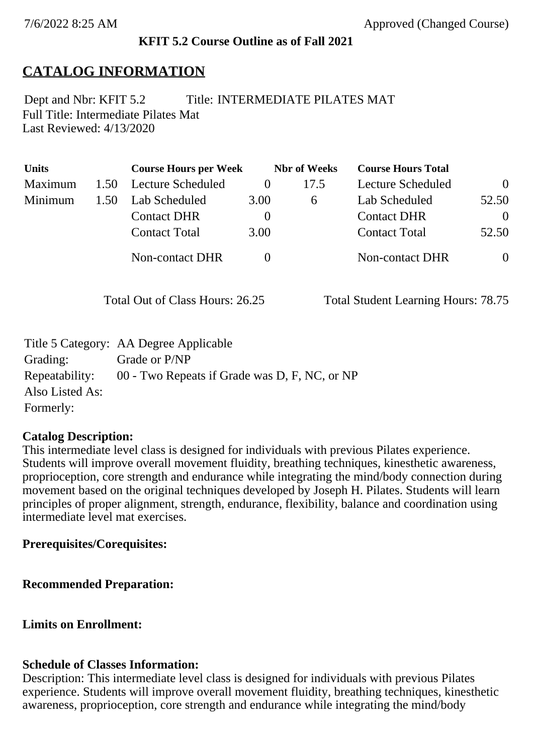### **KFIT 5.2 Course Outline as of Fall 2021**

# **CATALOG INFORMATION**

Full Title: Intermediate Pilates Mat Last Reviewed: 4/13/2020 Dept and Nbr: KFIT 5.2 Title: INTERMEDIATE PILATES MAT

| <b>Units</b> |      | <b>Course Hours per Week</b> |          | <b>Nbr</b> of Weeks | <b>Course Hours Total</b> |          |
|--------------|------|------------------------------|----------|---------------------|---------------------------|----------|
| Maximum      | 1.50 | Lecture Scheduled            |          | 17.5                | Lecture Scheduled         | $\theta$ |
| Minimum      | 1.50 | Lab Scheduled                | 3.00     | $\sigma$            | Lab Scheduled             | 52.50    |
|              |      | <b>Contact DHR</b>           | $\theta$ |                     | <b>Contact DHR</b>        | $\Omega$ |
|              |      | <b>Contact Total</b>         | 3.00     |                     | <b>Contact Total</b>      | 52.50    |
|              |      | Non-contact DHR              |          |                     | <b>Non-contact DHR</b>    | $\theta$ |

Total Out of Class Hours: 26.25 Total Student Learning Hours: 78.75

|                 | Title 5 Category: AA Degree Applicable        |
|-----------------|-----------------------------------------------|
| Grading:        | Grade or P/NP                                 |
| Repeatability:  | 00 - Two Repeats if Grade was D, F, NC, or NP |
| Also Listed As: |                                               |
| Formerly:       |                                               |

### **Catalog Description:**

This intermediate level class is designed for individuals with previous Pilates experience. Students will improve overall movement fluidity, breathing techniques, kinesthetic awareness, proprioception, core strength and endurance while integrating the mind/body connection during movement based on the original techniques developed by Joseph H. Pilates. Students will learn principles of proper alignment, strength, endurance, flexibility, balance and coordination using intermediate level mat exercises.

### **Prerequisites/Corequisites:**

**Recommended Preparation:**

**Limits on Enrollment:**

### **Schedule of Classes Information:**

Description: This intermediate level class is designed for individuals with previous Pilates experience. Students will improve overall movement fluidity, breathing techniques, kinesthetic awareness, proprioception, core strength and endurance while integrating the mind/body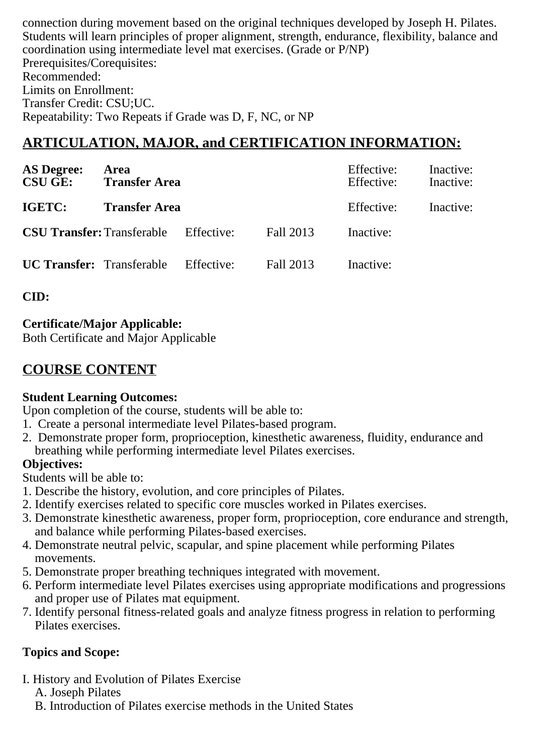connection during movement based on the original techniques developed by Joseph H. Pilates. Students will learn principles of proper alignment, strength, endurance, flexibility, balance and coordination using intermediate level mat exercises. (Grade or P/NP) Prerequisites/Corequisites: Recommended: Limits on Enrollment: Transfer Credit: CSU;UC. Repeatability: Two Repeats if Grade was D, F, NC, or NP

# **ARTICULATION, MAJOR, and CERTIFICATION INFORMATION:**

| <b>AS Degree:</b><br><b>CSU GE:</b>          | Area<br><b>Transfer Area</b> |            |           | Effective:<br>Effective: | Inactive:<br>Inactive: |
|----------------------------------------------|------------------------------|------------|-----------|--------------------------|------------------------|
| IGETC:                                       | <b>Transfer Area</b>         |            |           | Effective:               | Inactive:              |
| <b>CSU Transfer:</b> Transferable Effective: |                              |            | Fall 2013 | Inactive:                |                        |
| <b>UC Transfer:</b> Transferable             |                              | Effective: | Fall 2013 | Inactive:                |                        |

**CID:**

## **Certificate/Major Applicable:**

[Both Certificate and Major Applicable](SR_ClassCheck.aspx?CourseKey=KFIT5.2)

# **COURSE CONTENT**

### **Student Learning Outcomes:**

Upon completion of the course, students will be able to:

- 1. Create a personal intermediate level Pilates-based program.
- 2. Demonstrate proper form, proprioception, kinesthetic awareness, fluidity, endurance and breathing while performing intermediate level Pilates exercises.

## **Objectives:**

Students will be able to:

- 1. Describe the history, evolution, and core principles of Pilates.
- 2. Identify exercises related to specific core muscles worked in Pilates exercises.
- 3. Demonstrate kinesthetic awareness, proper form, proprioception, core endurance and strength, and balance while performing Pilates-based exercises.
- 4. Demonstrate neutral pelvic, scapular, and spine placement while performing Pilates movements.
- 5. Demonstrate proper breathing techniques integrated with movement.
- 6. Perform intermediate level Pilates exercises using appropriate modifications and progressions and proper use of Pilates mat equipment.
- 7. Identify personal fitness-related goals and analyze fitness progress in relation to performing Pilates exercises.

# **Topics and Scope:**

- I. History and Evolution of Pilates Exercise
	- A. Joseph Pilates
	- B. Introduction of Pilates exercise methods in the United States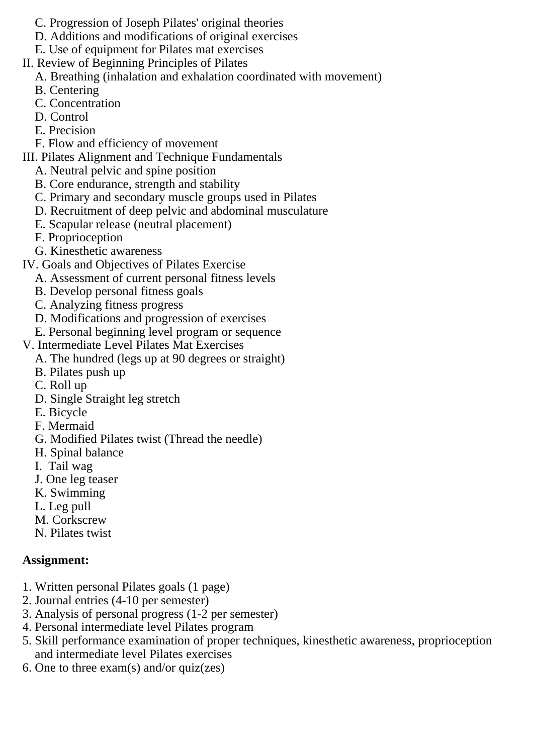- C. Progression of Joseph Pilates' original theories
- D. Additions and modifications of original exercises
- E. Use of equipment for Pilates mat exercises
- II. Review of Beginning Principles of Pilates
	- A. Breathing (inhalation and exhalation coordinated with movement)
	- B. Centering
	- C. Concentration
	- D. Control
	- E. Precision
	- F. Flow and efficiency of movement
- III. Pilates Alignment and Technique Fundamentals
	- A. Neutral pelvic and spine position
	- B. Core endurance, strength and stability
	- C. Primary and secondary muscle groups used in Pilates
	- D. Recruitment of deep pelvic and abdominal musculature
	- E. Scapular release (neutral placement)
	- F. Proprioception
	- G. Kinesthetic awareness
- IV. Goals and Objectives of Pilates Exercise
	- A. Assessment of current personal fitness levels
		- B. Develop personal fitness goals
		- C. Analyzing fitness progress
	- D. Modifications and progression of exercises
	- E. Personal beginning level program or sequence
- V. Intermediate Level Pilates Mat Exercises
	- A. The hundred (legs up at 90 degrees or straight)
	- B. Pilates push up
	- C. Roll up
	- D. Single Straight leg stretch
	- E. Bicycle
	- F. Mermaid
	- G. Modified Pilates twist (Thread the needle)
	- H. Spinal balance
	- I. Tail wag
	- J. One leg teaser
	- K. Swimming
	- L. Leg pull
	- M. Corkscrew
	- N. Pilates twist

## **Assignment:**

- 1. Written personal Pilates goals (1 page)
- 2. Journal entries (4-10 per semester)
- 3. Analysis of personal progress (1-2 per semester)
- 4. Personal intermediate level Pilates program
- 5. Skill performance examination of proper techniques, kinesthetic awareness, proprioception and intermediate level Pilates exercises
- 6. One to three exam(s) and/or quiz(zes)